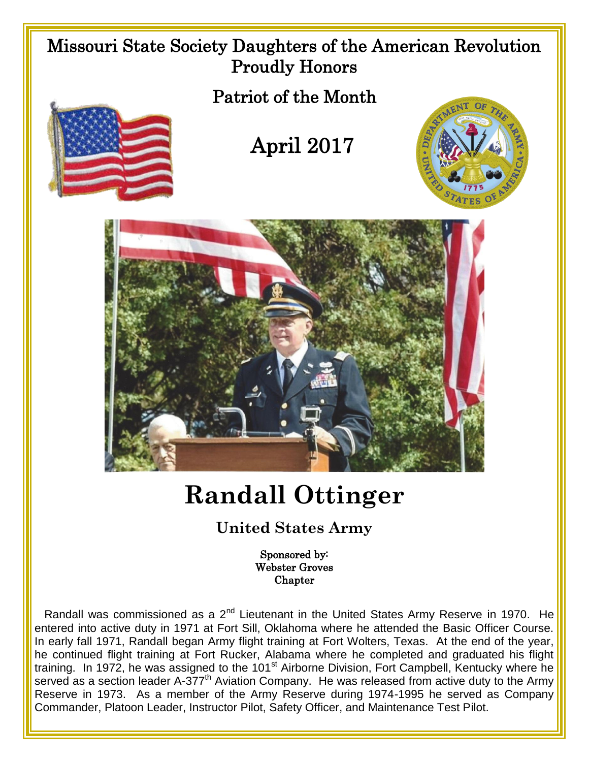

Sponsored by: Webster Groves **Chapter** 

Randall was commissioned as a 2<sup>nd</sup> Lieutenant in the United States Army Reserve in 1970. He entered into active duty in 1971 at Fort Sill, Oklahoma where he attended the Basic Officer Course. In early fall 1971, Randall began Army flight training at Fort Wolters, Texas. At the end of the year, he continued flight training at Fort Rucker, Alabama where he completed and graduated his flight training. In 1972, he was assigned to the 101<sup>st</sup> Airborne Division, Fort Campbell, Kentucky where he served as a section leader A-377<sup>th</sup> Aviation Company. He was released from active duty to the Army Reserve in 1973. As a member of the Army Reserve during 1974-1995 he served as Company Commander, Platoon Leader, Instructor Pilot, Safety Officer, and Maintenance Test Pilot.